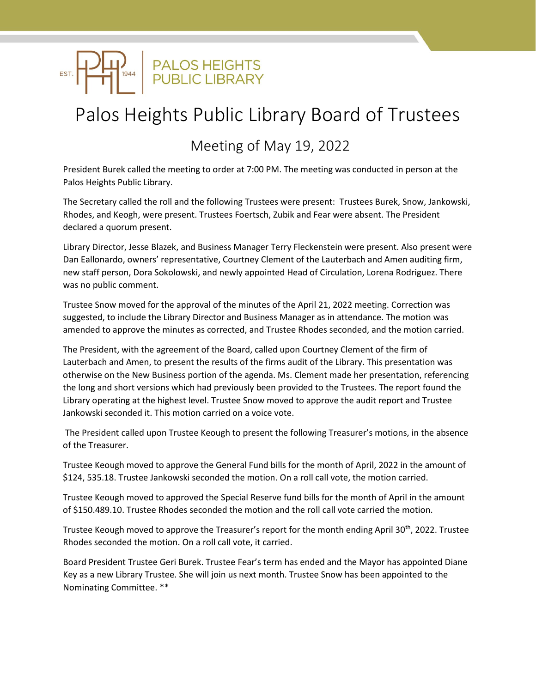

## Palos Heights Public Library Board of Trustees

## Meeting of May 19, 2022

President Burek called the meeting to order at 7:00 PM. The meeting was conducted in person at the Palos Heights Public Library.

The Secretary called the roll and the following Trustees were present: Trustees Burek, Snow, Jankowski, Rhodes, and Keogh, were present. Trustees Foertsch, Zubik and Fear were absent. The President declared a quorum present.

Library Director, Jesse Blazek, and Business Manager Terry Fleckenstein were present. Also present were Dan Eallonardo, owners' representative, Courtney Clement of the Lauterbach and Amen auditing firm, new staff person, Dora Sokolowski, and newly appointed Head of Circulation, Lorena Rodriguez. There was no public comment.

Trustee Snow moved for the approval of the minutes of the April 21, 2022 meeting. Correction was suggested, to include the Library Director and Business Manager as in attendance. The motion was amended to approve the minutes as corrected, and Trustee Rhodes seconded, and the motion carried.

The President, with the agreement of the Board, called upon Courtney Clement of the firm of Lauterbach and Amen, to present the results of the firms audit of the Library. This presentation was otherwise on the New Business portion of the agenda. Ms. Clement made her presentation, referencing the long and short versions which had previously been provided to the Trustees. The report found the Library operating at the highest level. Trustee Snow moved to approve the audit report and Trustee Jankowski seconded it. This motion carried on a voice vote.

The President called upon Trustee Keough to present the following Treasurer's motions, in the absence of the Treasurer.

Trustee Keough moved to approve the General Fund bills for the month of April, 2022 in the amount of \$124, 535.18. Trustee Jankowski seconded the motion. On a roll call vote, the motion carried.

Trustee Keough moved to approved the Special Reserve fund bills for the month of April in the amount of \$150.489.10. Trustee Rhodes seconded the motion and the roll call vote carried the motion.

Trustee Keough moved to approve the Treasurer's report for the month ending April 30<sup>th</sup>, 2022. Trustee Rhodes seconded the motion. On a roll call vote, it carried.

Board President Trustee Geri Burek. Trustee Fear's term has ended and the Mayor has appointed Diane Key as a new Library Trustee. She will join us next month. Trustee Snow has been appointed to the Nominating Committee. \*\*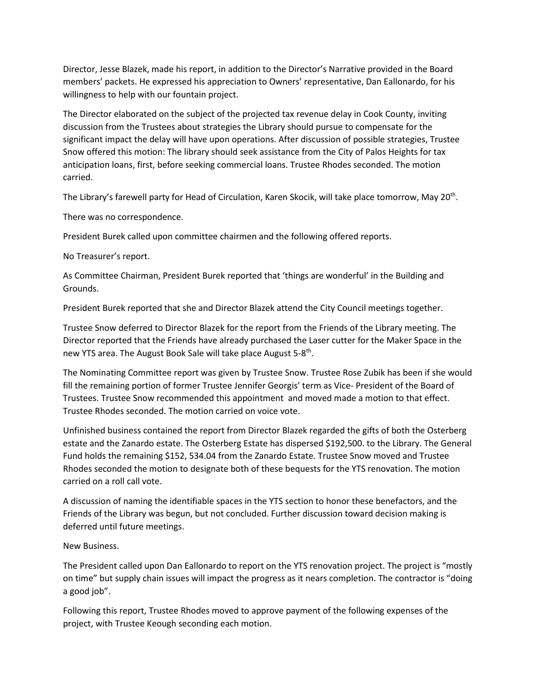Director, Jesse Blazek, made his report, in addition to the Director's Narrative provided in the Board members' packets. He expressed his appreciation to Owners' representative, Dan Eallonardo, for his willingness to help with our fountain project.

The Director elaborated on the subject of the projected tax revenue delay in Cook County, inviting discussion from the Trustees about strategies the Library should pursue to compensate for the significant impact the delay will have upon operations. After discussion of possible strategies, Trustee Snow offered this motion: The library should seek assistance from the City of Palos Heights for tax anticipation loans, first, before seeking commercial loans. Trustee Rhodes seconded. The motion carried.

The Library's farewell party for Head of Circulation, Karen Skocik, will take place tomorrow, May 20<sup>th</sup>.

There was no correspondence.

President Burek called upon committee chairmen and the following offered reports.

No Treasurer's report.

As Committee Chairman, President Burek reported that 'things are wonderful' in the Building and Grounds.

President Burek reported that she and Director Blazek attend the City Council meetings together.

Trustee Snow deferred to Director Blazek for the report from the Friends of the Library meeting. The Director reported that the Friends have already purchased the Laser cutter for the Maker Space in the new YTS area. The August Book Sale will take place August 5-8<sup>th</sup>.

The Nominating Committee report was given by Trustee Snow. Trustee Rose Zubik has been if she would fill the remaining portion of former Trustee Jennifer Georgis' term as Vice- President of the Board of Trustees. Trustee Snow recommended this appointment and moved made a motion to that effect. Trustee Rhodes seconded. The motion carried on voice vote.

Unfinished business contained the report from Director Blazek regarded the gifts of both the Osterberg estate and the Zanardo estate. The Osterberg Estate has dispersed \$192,500. to the Library. The General Fund holds the remaining \$152, 534.04 from the Zanardo Estate. Trustee Snow moved and Trustee Rhodes seconded the motion to designate both of these bequests for the YTS renovation. The motion carried on a roll call vote.

A discussion of naming the identifiable spaces in the YTS section to honor these benefactors, and the Friends of the Library was begun, but not concluded. Further discussion toward decision making is deferred until future meetings.

## New Business.

The President called upon Dan Eallonardo to report on the YTS renovation project. The project is "mostly on time" but supply chain issues will impact the progress as it nears completion. The contractor is "doing a good job".

Following this report, Trustee Rhodes moved to approve payment of the following expenses of the project, with Trustee Keough seconding each motion.